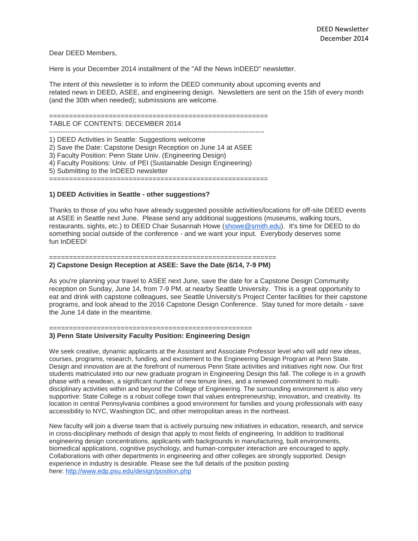Dear DEED Members,

Here is your December 2014 installment of the "All the News InDEED" newsletter.

The intent of this newsletter is to inform the DEED community about upcoming events and related news in DEED, ASEE, and engineering design. Newsletters are sent on the 15th of every month (and the 30th when needed); submissions are welcome.

=======================================================

TABLE OF CONTENTS: DECEMBER 2014 -----------------------------------------------------------------------------------------------

1) DEED Activities in Seattle: Suggestions welcome 2) Save the Date: Capstone Design Reception on June 14 at ASEE 3) Faculty Position: Penn State Univ. (Engineering Design) 4) Faculty Positions: Univ. of PEI (Sustainable Design Engineering) 5) Submitting to the InDEED newsletter =======================================================

**1) DEED Activities in Seattle - other suggestions?**

Thanks to those of you who have already suggested possible activities/locations for off-site DEED events at ASEE in Seattle next June. Please send any additional suggestions (museums, walking tours, restaurants, sights, etc.) to DEED Chair Susannah Howe [\(showe@smith.edu\)](mailto:showe@smith.edu). It's time for DEED to do something social outside of the conference - and we want your input. Everybody deserves some fun InDEED!

## ========================================================= **2) Capstone Design Reception at ASEE: Save the Date (6/14, 7-9 PM)**

As you're planning your travel to ASEE next June, save the date for a Capstone Design Community reception on Sunday, June 14, from 7-9 PM, at nearby Seattle University. This is a great opportunity to eat and drink with capstone colleagues, see Seattle University's Project Center facilities for their capstone programs, and look ahead to the 2016 Capstone Design Conference. Stay tuned for more details - save the June 14 date in the meantime.

## =================================================== **3) Penn State University Faculty Position: Engineering Design**

We seek creative, dynamic applicants at the Assistant and Associate Professor level who will add new ideas, courses, programs, research, funding, and excitement to the Engineering Design Program at Penn State. Design and innovation are at the forefront of numerous Penn State activities and initiatives right now. Our first students matriculated into our new graduate program in Engineering Design this fall. The college is in a growth phase with a newdean, a significant number of new tenure lines, and a renewed commitment to multidisciplinary activities within and beyond the College of Engineering. The surrounding environment is also very supportive: State College is a robust college town that values entrepreneurship, innovation, and creativity. Its location in central Pennsylvania combines a good environment for families and young professionals with easy accessibility to NYC, Washington DC, and other metropolitan areas in the northeast.

New faculty will join a diverse team that is actively pursuing new initiatives in education, research, and service in cross-disciplinary methods of design that apply to most fields of engineering. In addition to traditional engineering design concentrations, applicants with backgrounds in manufacturing, built environments, biomedical applications, cognitive psychology, and human-computer interaction are encouraged to apply. Collaborations with other departments in engineering and other colleges are strongly supported. Design experience in industry is desirable. Please see the full details of the position posting here: <http://www.edp.psu.edu/design/position.php>